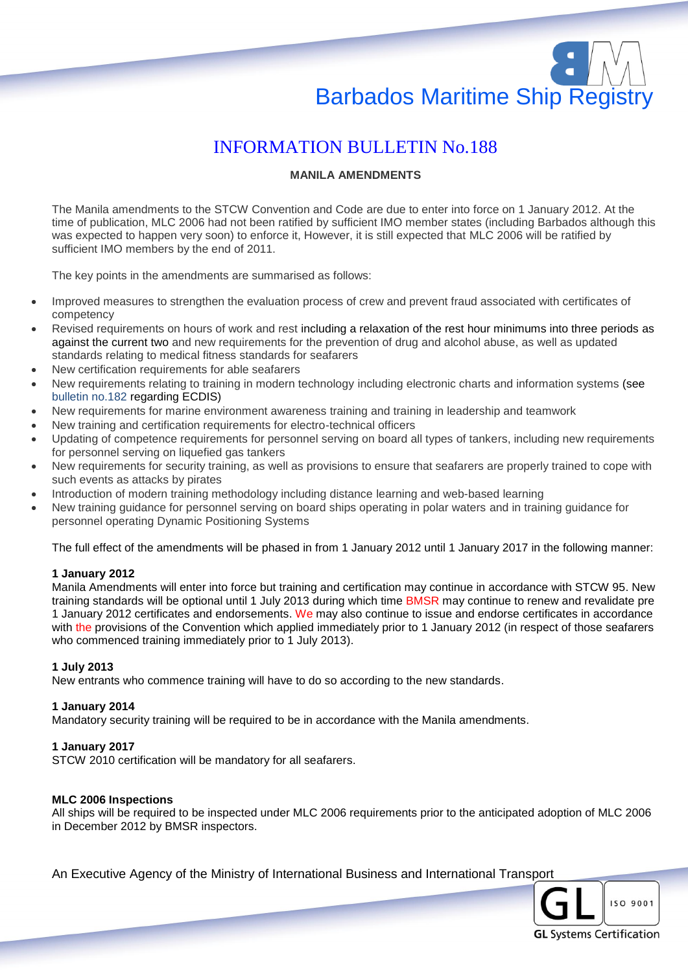# Barbados Maritime Ship Registry

# INFORMATION BULLETIN No.188

# **MANILA AMENDMENTS**

The Manila amendments to the STCW Convention and Code are due to enter into force on 1 January 2012. At the time of publication, MLC 2006 had not been ratified by sufficient IMO member states (including Barbados although this was expected to happen very soon) to enforce it, However, it is still expected that MLC 2006 will be ratified by sufficient IMO members by the end of 2011.

The key points in the amendments are summarised as follows:

- Improved measures to strengthen the evaluation process of crew and prevent fraud associated with certificates of competency
- Revised requirements on hours of work and rest including a relaxation of the rest hour minimums into three periods as against the current two and new requirements for the prevention of drug and alcohol abuse, as well as updated standards relating to medical fitness standards for seafarers
- New certification requirements for able seafarers
- New requirements relating to training in modern technology including electronic charts and information systems (see bulletin no.182 regarding ECDIS)
- New requirements for marine environment awareness training and training in leadership and teamwork
- New training and certification requirements for electro-technical officers
- Updating of competence requirements for personnel serving on board all types of tankers, including new requirements for personnel serving on liquefied gas tankers
- New requirements for security training, as well as provisions to ensure that seafarers are properly trained to cope with such events as attacks by pirates
- Introduction of modern training methodology including distance learning and web-based learning
- New training guidance for personnel serving on board ships operating in polar waters and in training guidance for personnel operating Dynamic Positioning Systems

The full effect of the amendments will be phased in from 1 January 2012 until 1 January 2017 in the following manner:

# **1 January 2012**

Manila Amendments will enter into force but training and certification may continue in accordance with STCW 95. New training standards will be optional until 1 July 2013 during which time BMSR may continue to renew and revalidate pre 1 January 2012 certificates and endorsements. We may also continue to issue and endorse certificates in accordance with the provisions of the Convention which applied immediately prior to 1 January 2012 (in respect of those seafarers who commenced training immediately prior to 1 July 2013).

#### **1 July 2013**

New entrants who commence training will have to do so according to the new standards.

#### **1 January 2014**

Mandatory security training will be required to be in accordance with the Manila amendments.

#### **1 January 2017**

STCW 2010 certification will be mandatory for all seafarers.

# **MLC 2006 Inspections**

All ships will be required to be inspected under MLC 2006 requirements prior to the anticipated adoption of MLC 2006 in December 2012 by BMSR inspectors.

An Executive Agency of the Ministry of International Business and International Transport